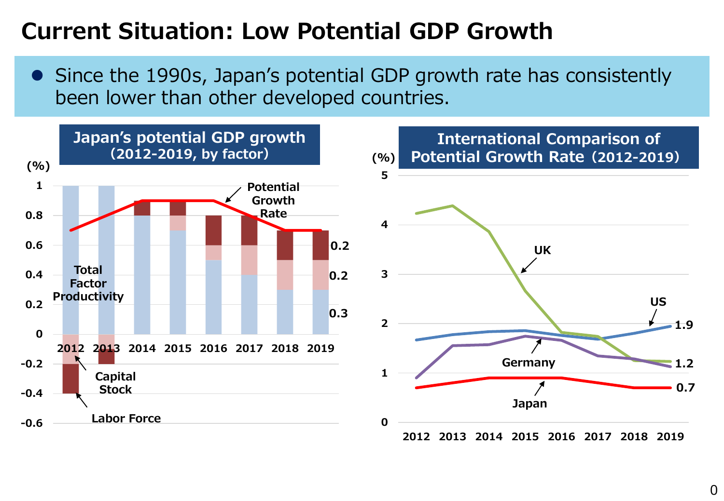# **Current Situation: Low Potential GDP Growth**

• Since the 1990s, Japan's potential GDP growth rate has consistently been lower than other developed countries.



0

**US**

**1.2**

**1.9**

**0.7**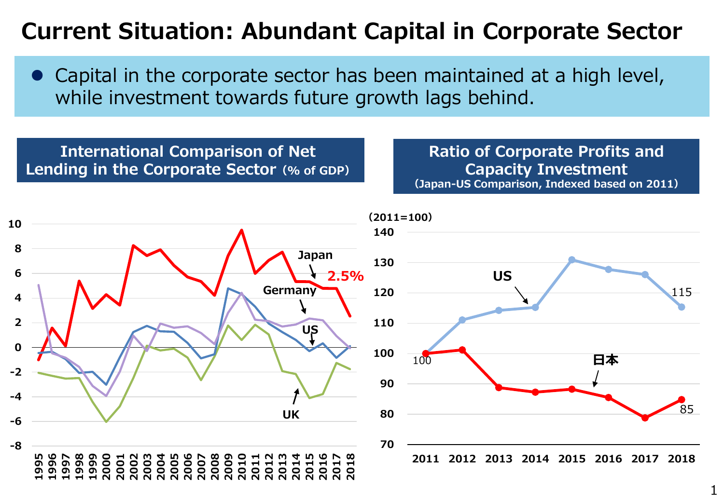# **Current Situation: Abundant Capital in Corporate Sector**

 Capital in the corporate sector has been maintained at a high level, while investment towards future growth lags behind.

#### **International Comparison of Net Lending in the Corporate Sector(% of GDP)**

**Ratio of Corporate Profits and Capacity Investment (Japan-US Comparison, Indexed based on 2011)**

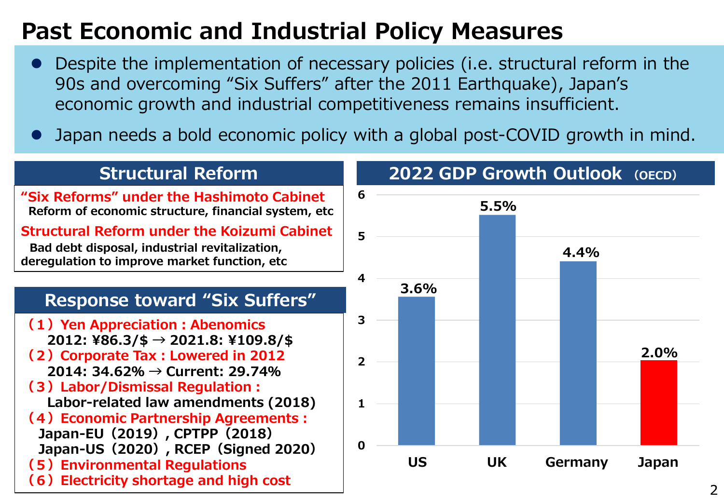# **Past Economic and Industrial Policy Measures**

- Despite the implementation of necessary policies (i.e. structural reform in the 90s and overcoming "Six Suffers" after the 2011 Earthquake), Japan's economic growth and industrial competitiveness remains insufficient.
- Japan needs a bold economic policy with a global post-COVID growth in mind.

### **Structural Reform**

- **"Six Reforms" under the Hashimoto Cabinet Reform of economic structure, financial system, etc**
- **Structural Reform under the Koizumi Cabinet Bad debt disposal, industrial revitalization, deregulation to improve market function, etc**

### **Response toward "Six Suffers"**

- **(1)Yen Appreciation:Abenomics 2012: ¥86.3/\$ → 2021.8: ¥109.8/\$**
- **(2)Corporate Tax:Lowered in 2012 2014: 34.62% → Current: 29.74%**
- **(3)Labor/Dismissal Regulation:**
	- **Labor-related law amendments (2018)**
- **(4)Economic Partnership Agreements:**
- **Japan-EU(2019), CPTPP(2018) Japan-US(2020), RCEP(Signed 2020) (5)Environmental Regulations**
- **(6)Electricity shortage and high cost**



## **2022 GDP Growth Outlook (OECD)**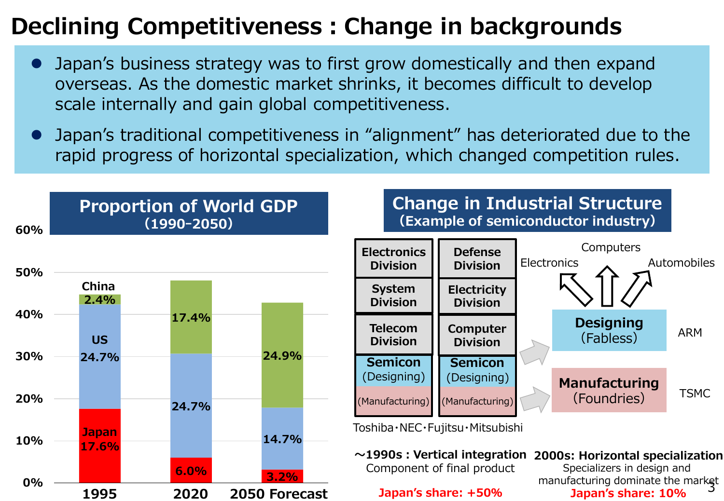# **Declining Competitiveness:Change in backgrounds**

- Japan's business strategy was to first grow domestically and then expand overseas. As the domestic market shrinks, it becomes difficult to develop scale internally and gain global competitiveness.
- Japan's traditional competitiveness in "alignment" has deteriorated due to the rapid progress of horizontal specialization, which changed competition rules.



#### **Change in Industrial Structure (Example of semiconductor industry)**



Toshiba・NEC・Fujitsu・Mitsubishi

**~1990s:Vertical integration 2000s: Horizontal specialization** Component of final product

#### **Japan's share: +50%**

manufacturing dominate the market<br>10% anan's share: 10% Specializers in design and **Japan's share: 10%**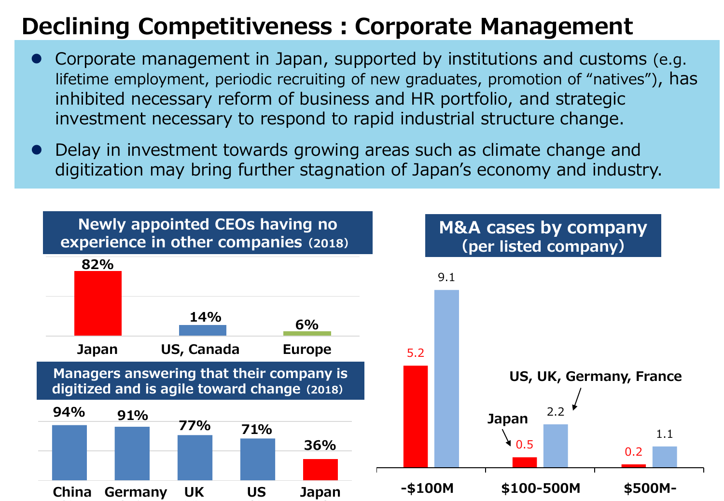# **Declining Competitiveness:Corporate Management**

- Corporate management in Japan, supported by institutions and customs (e.g. lifetime employment, periodic recruiting of new graduates, promotion of "natives"), has inhibited necessary reform of business and HR portfolio, and strategic investment necessary to respond to rapid industrial structure change.
- Delay in investment towards growing areas such as climate change and digitization may bring further stagnation of Japan's economy and industry.

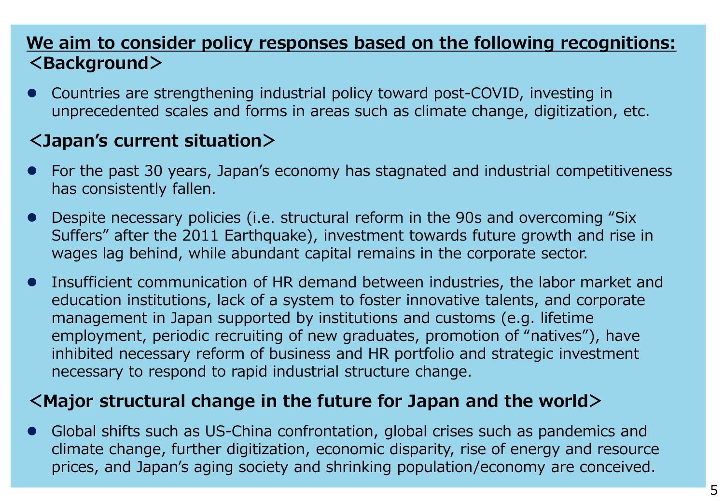### **We aim to consider policy responses based on the following recognitions: <Background>**

 Countries are strengthening industrial policy toward post-COVID, investing in unprecedented scales and forms in areas such as climate change, digitization, etc.

### **<Japan's current situation>**

- For the past 30 years, Japan's economy has stagnated and industrial competitiveness has consistently fallen.
- Despite necessary policies (i.e. structural reform in the 90s and overcoming "Six Suffers" after the 2011 Earthquake), investment towards future growth and rise in wages lag behind, while abundant capital remains in the corporate sector.
- Insufficient communication of HR demand between industries, the labor market and education institutions, lack of a system to foster innovative talents, and corporate management in Japan supported by institutions and customs (e.g. lifetime employment, periodic recruiting of new graduates, promotion of "natives"), have inhibited necessary reform of business and HR portfolio and strategic investment necessary to respond to rapid industrial structure change.

### **<Major structural change in the future for Japan and the world>**

 Global shifts such as US-China confrontation, global crises such as pandemics and climate change, further digitization, economic disparity, rise of energy and resource prices, and Japan's aging society and shrinking population/economy are conceived.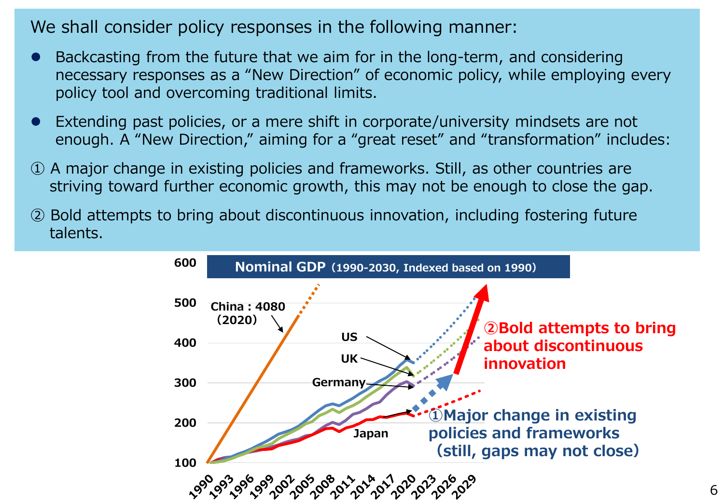We shall consider policy responses in the following manner:

- Backcasting from the future that we aim for in the long-term, and considering necessary responses as a "New Direction" of economic policy, while employing every policy tool and overcoming traditional limits.
- Extending past policies, or a mere shift in corporate/university mindsets are not enough. A "New Direction," aiming for a "great reset" and "transformation" includes:
- ① A major change in existing policies and frameworks. Still, as other countries are striving toward further economic growth, this may not be enough to close the gap.
- ② Bold attempts to bring about discontinuous innovation, including fostering future talents.

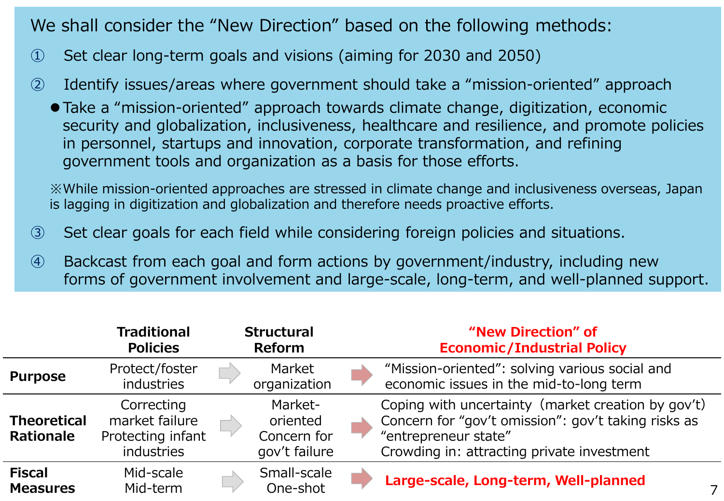We shall consider the "New Direction" based on the following methods:

- ① Set clear long-term goals and visions (aiming for 2030 and 2050)
- ② Identify issues/areas where government should take a "mission-oriented" approach
	- Take a "mission-oriented" approach towards climate change, digitization, economic security and globalization, inclusiveness, healthcare and resilience, and promote policies in personnel, startups and innovation, corporate transformation, and refining government tools and organization as a basis for those efforts.

※While mission-oriented approaches are stressed in climate change and inclusiveness overseas, Japan is lagging in digitization and globalization and therefore needs proactive efforts.

- ③ Set clear goals for each field while considering foreign policies and situations.
- ④ Backcast from each goal and form actions by government/industry, including new forms of government involvement and large-scale, long-term, and well-planned support.

|                                  | <b>Traditional</b><br><b>Policies</b>                           | <b>Structural</b><br><b>Reform</b>                  | "New Direction" of<br><b>Economic/Industrial Policy</b>                                                                                                                         |  |
|----------------------------------|-----------------------------------------------------------------|-----------------------------------------------------|---------------------------------------------------------------------------------------------------------------------------------------------------------------------------------|--|
| <b>Purpose</b>                   | Protect/foster<br><b>industries</b>                             | Market<br>organization                              | "Mission-oriented": solving various social and<br>economic issues in the mid-to-long term                                                                                       |  |
| <b>Theoretical</b><br>Rationale  | Correcting<br>market failure<br>Protecting infant<br>industries | Market-<br>oriented<br>Concern for<br>gov't failure | Coping with uncertainty (market creation by gov't)<br>Concern for "gov't omission": gov't taking risks as<br>"entrepreneur state"<br>Crowding in: attracting private investment |  |
| <b>Fiscal</b><br><b>Measures</b> | Mid-scale<br>Mid-term                                           | Small-scale<br>One-shot                             | Large-scale, Long-term, Well-planned                                                                                                                                            |  |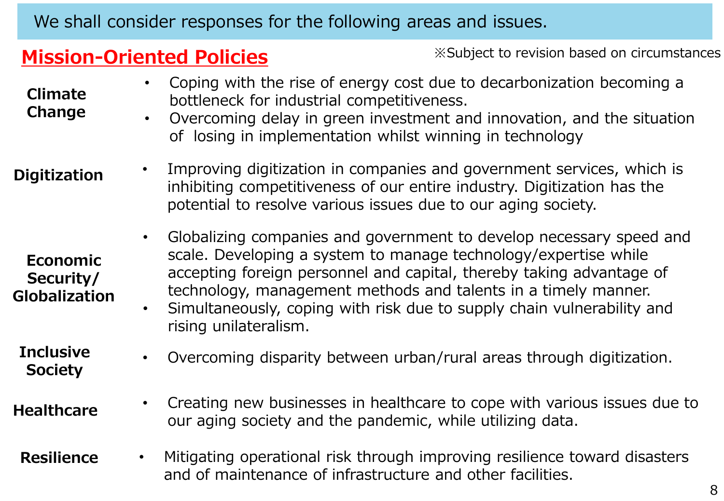We shall consider responses for the following areas and issues.

### **Mission-Oriented Policies** ※Subject to revision based on circumstances

| <b>Climate</b><br>Change                             | Coping with the rise of energy cost due to decarbonization becoming a<br>bottleneck for industrial competitiveness.<br>Overcoming delay in green investment and innovation, and the situation<br>of losing in implementation whilst winning in technology                                                                                                                           |
|------------------------------------------------------|-------------------------------------------------------------------------------------------------------------------------------------------------------------------------------------------------------------------------------------------------------------------------------------------------------------------------------------------------------------------------------------|
| <b>Digitization</b>                                  | Improving digitization in companies and government services, which is<br>inhibiting competitiveness of our entire industry. Digitization has the<br>potential to resolve various issues due to our aging society.                                                                                                                                                                   |
| <b>Economic</b><br>Security/<br><b>Globalization</b> | Globalizing companies and government to develop necessary speed and<br>scale. Developing a system to manage technology/expertise while<br>accepting foreign personnel and capital, thereby taking advantage of<br>technology, management methods and talents in a timely manner.<br>Simultaneously, coping with risk due to supply chain vulnerability and<br>rising unilateralism. |
| <b>Inclusive</b><br><b>Society</b>                   | Overcoming disparity between urban/rural areas through digitization.                                                                                                                                                                                                                                                                                                                |
| <b>Healthcare</b>                                    | Creating new businesses in healthcare to cope with various issues due to<br>our aging society and the pandemic, while utilizing data.                                                                                                                                                                                                                                               |
| <b>Resilience</b>                                    | Mitigating operational risk through improving resilience toward disasters<br>$\bullet$<br>and of maintenance of infrastructure and other facilities.                                                                                                                                                                                                                                |